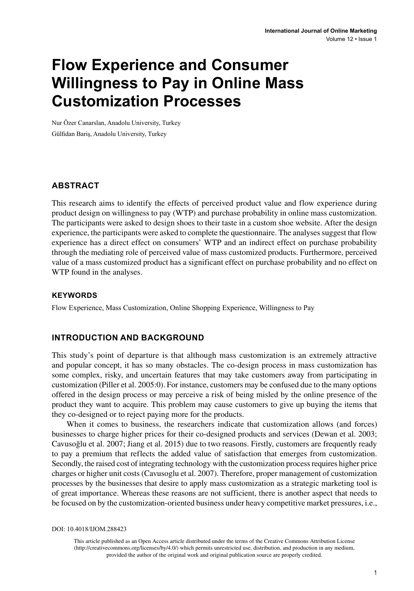# **Flow Experience and Consumer Willingness to Pay in Online Mass Customization Processes**

Nur Özer Canarslan, Anadolu University, Turkey Gülfidan Bariş, Anadolu University, Turkey

### **ABSTRACT**

This research aims to identify the effects of perceived product value and flow experience during product design on willingness to pay (WTP) and purchase probability in online mass customization. The participants were asked to design shoes to their taste in a custom shoe website. After the design experience, the participants were asked to complete the questionnaire. The analyses suggest that flow experience has a direct effect on consumers' WTP and an indirect effect on purchase probability through the mediating role of perceived value of mass customized products. Furthermore, perceived value of a mass customized product has a significant effect on purchase probability and no effect on WTP found in the analyses.

### **Keywords**

Flow Experience, Mass Customization, Online Shopping Experience, Willingness to Pay

### **INTRODUCTION AND BACKGROUND**

This study's point of departure is that although mass customization is an extremely attractive and popular concept, it has so many obstacles. The co-design process in mass customization has some complex, risky, and uncertain features that may take customers away from participating in customization (Piller et al. 2005:0). For instance, customers may be confused due to the many options offered in the design process or may perceive a risk of being misled by the online presence of the product they want to acquire. This problem may cause customers to give up buying the items that they co-designed or to reject paying more for the products.

When it comes to business, the researchers indicate that customization allows (and forces) businesses to charge higher prices for their co-designed products and services (Dewan et al. 2003; Cavusoğlu et al. 2007; Jiang et al. 2015) due to two reasons. Firstly, customers are frequently ready to pay a premium that reflects the added value of satisfaction that emerges from customization. Secondly, the raised cost of integrating technology with the customization process requires higher price charges or higher unit costs (Cavusoglu et al. 2007). Therefore, proper management of customization processes by the businesses that desire to apply mass customization as a strategic marketing tool is of great importance. Whereas these reasons are not sufficient, there is another aspect that needs to be focused on by the customization-oriented business under heavy competitive market pressures, i.e.,

DOI: 10.4018/IJOM.288423

This article published as an Open Access article distributed under the terms of the Creative Commons Attribution License (http://creativecommons.org/licenses/by/4.0/) which permits unrestricted use, distribution, and production in any medium, provided the author of the original work and original publication source are properly credited.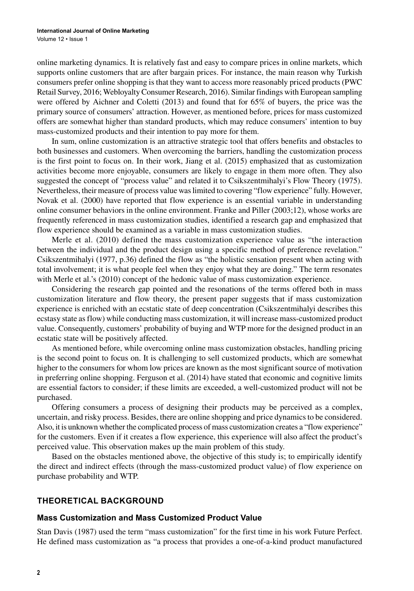online marketing dynamics. It is relatively fast and easy to compare prices in online markets, which supports online customers that are after bargain prices. For instance, the main reason why Turkish consumers prefer online shopping is that they want to access more reasonably priced products (PWC Retail Survey, 2016; Webloyalty Consumer Research, 2016). Similar findings with European sampling were offered by Aichner and Coletti (2013) and found that for 65% of buyers, the price was the primary source of consumers' attraction. However, as mentioned before, prices for mass customized offers are somewhat higher than standard products, which may reduce consumers' intention to buy mass-customized products and their intention to pay more for them.

In sum, online customization is an attractive strategic tool that offers benefits and obstacles to both businesses and customers. When overcoming the barriers, handling the customization process is the first point to focus on. In their work, Jiang et al. (2015) emphasized that as customization activities become more enjoyable, consumers are likely to engage in them more often. They also suggested the concept of "process value" and related it to Csikszentmihalyi's Flow Theory (1975). Nevertheless, their measure of process value was limited to covering "flow experience" fully. However, Novak et al. (2000) have reported that flow experience is an essential variable in understanding online consumer behaviors in the online environment. Franke and Piller (2003;12), whose works are frequently referenced in mass customization studies, identified a research gap and emphasized that flow experience should be examined as a variable in mass customization studies.

Merle et al. (2010) defined the mass customization experience value as "the interaction between the individual and the product design using a specific method of preference revelation." Csikszentmihalyi (1977, p.36) defined the flow as "the holistic sensation present when acting with total involvement; it is what people feel when they enjoy what they are doing." The term resonates with Merle et al.'s (2010) concept of the hedonic value of mass customization experience.

Considering the research gap pointed and the resonations of the terms offered both in mass customization literature and flow theory, the present paper suggests that if mass customization experience is enriched with an ecstatic state of deep concentration (Csikszentmihalyi describes this ecstasy state as flow) while conducting mass customization, it will increase mass-customized product value. Consequently, customers' probability of buying and WTP more for the designed product in an ecstatic state will be positively affected.

As mentioned before, while overcoming online mass customization obstacles, handling pricing is the second point to focus on. It is challenging to sell customized products, which are somewhat higher to the consumers for whom low prices are known as the most significant source of motivation in preferring online shopping. Ferguson et al. (2014) have stated that economic and cognitive limits are essential factors to consider; if these limits are exceeded, a well-customized product will not be purchased.

Offering consumers a process of designing their products may be perceived as a complex, uncertain, and risky process. Besides, there are online shopping and price dynamics to be considered. Also, it is unknown whether the complicated process of mass customization creates a "flow experience" for the customers. Even if it creates a flow experience, this experience will also affect the product's perceived value. This observation makes up the main problem of this study.

Based on the obstacles mentioned above, the objective of this study is; to empirically identify the direct and indirect effects (through the mass-customized product value) of flow experience on purchase probability and WTP.

### **THEORETICAL BACKGROUND**

#### **Mass Customization and Mass Customized Product Value**

Stan Davis (1987) used the term "mass customization" for the first time in his work Future Perfect. He defined mass customization as "a process that provides a one-of-a-kind product manufactured